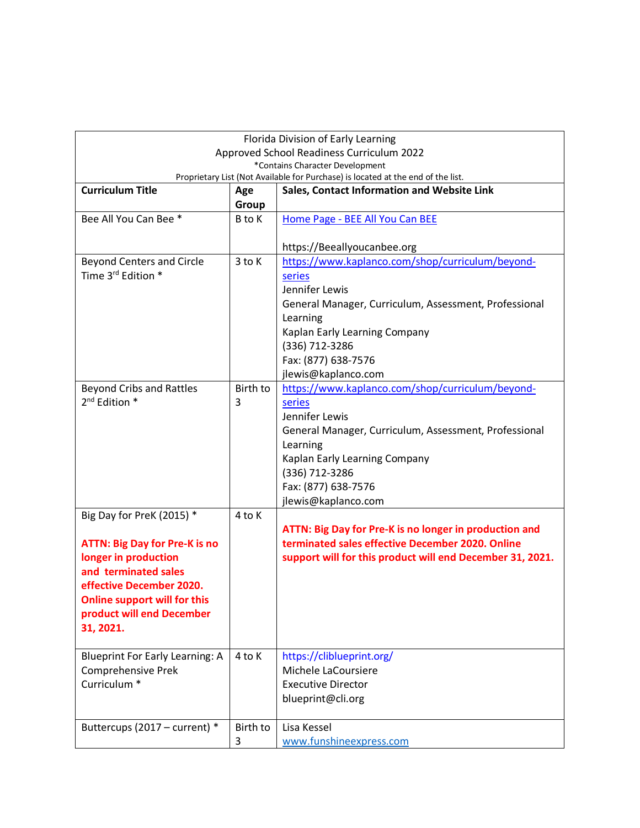| Florida Division of Early Learning            |          |                                                                                  |
|-----------------------------------------------|----------|----------------------------------------------------------------------------------|
| Approved School Readiness Curriculum 2022     |          |                                                                                  |
| *Contains Character Development               |          |                                                                                  |
|                                               |          | Proprietary List (Not Available for Purchase) is located at the end of the list. |
| <b>Curriculum Title</b>                       | Age      | Sales, Contact Information and Website Link                                      |
|                                               | Group    |                                                                                  |
| Bee All You Can Bee *                         | B to K   | Home Page - BEE All You Can BEE                                                  |
|                                               |          |                                                                                  |
|                                               |          | https://Beeallyoucanbee.org                                                      |
| <b>Beyond Centers and Circle</b>              | 3 to K   | https://www.kaplanco.com/shop/curriculum/beyond-                                 |
| Time 3 <sup>rd</sup> Edition *                |          | series                                                                           |
|                                               |          | Jennifer Lewis                                                                   |
|                                               |          | General Manager, Curriculum, Assessment, Professional                            |
|                                               |          | Learning                                                                         |
|                                               |          | Kaplan Early Learning Company                                                    |
|                                               |          | (336) 712-3286                                                                   |
|                                               |          | Fax: (877) 638-7576                                                              |
|                                               |          | jlewis@kaplanco.com                                                              |
| <b>Beyond Cribs and Rattles</b>               | Birth to | https://www.kaplanco.com/shop/curriculum/beyond-                                 |
| $2^{nd}$ Edition $*$                          | 3        | series                                                                           |
|                                               |          | Jennifer Lewis                                                                   |
|                                               |          | General Manager, Curriculum, Assessment, Professional                            |
|                                               |          | Learning                                                                         |
|                                               |          | Kaplan Early Learning Company                                                    |
|                                               |          | (336) 712-3286                                                                   |
|                                               |          | Fax: (877) 638-7576                                                              |
|                                               |          | jlewis@kaplanco.com                                                              |
| Big Day for PreK (2015) *                     | 4 to K   |                                                                                  |
|                                               |          | ATTN: Big Day for Pre-K is no longer in production and                           |
| <b>ATTN: Big Day for Pre-K is no</b>          |          | terminated sales effective December 2020. Online                                 |
| longer in production                          |          | support will for this product will end December 31, 2021.                        |
| and terminated sales                          |          |                                                                                  |
|                                               |          |                                                                                  |
| effective December 2020.                      |          |                                                                                  |
| <b>Online support will for this</b>           |          |                                                                                  |
| product will end December                     |          |                                                                                  |
| 31, 2021.                                     |          |                                                                                  |
|                                               | 4 to K   |                                                                                  |
| <b>Blueprint For Early Learning: A</b>        |          | https://cliblueprint.org/<br>Michele LaCoursiere                                 |
| Comprehensive Prek<br>Curriculum <sup>*</sup> |          |                                                                                  |
|                                               |          | <b>Executive Director</b>                                                        |
|                                               |          | blueprint@cli.org                                                                |
|                                               |          |                                                                                  |
| Buttercups (2017 - current) *                 | Birth to | Lisa Kessel                                                                      |
|                                               | 3        | www.funshineexpress.com                                                          |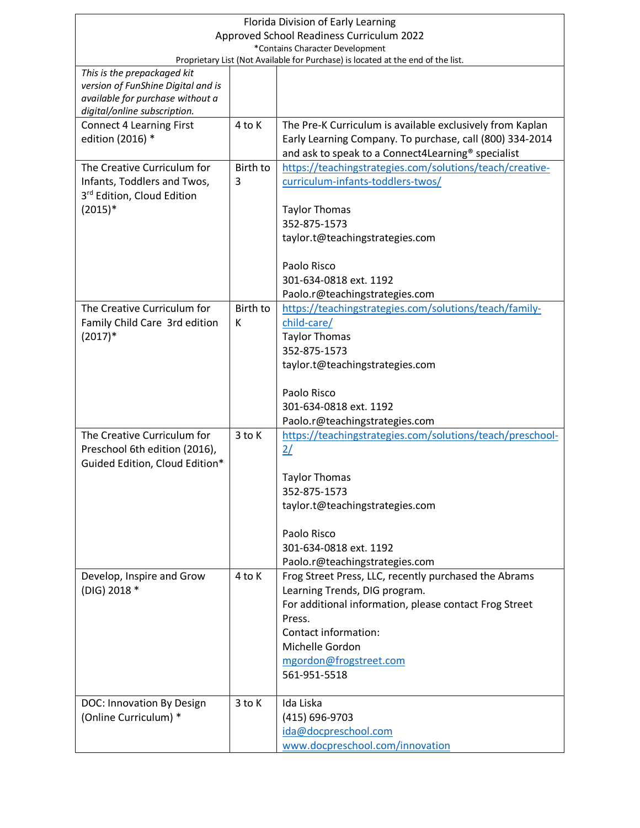| Florida Division of Early Learning                                               |          |                                                           |  |
|----------------------------------------------------------------------------------|----------|-----------------------------------------------------------|--|
| Approved School Readiness Curriculum 2022                                        |          |                                                           |  |
| *Contains Character Development                                                  |          |                                                           |  |
| Proprietary List (Not Available for Purchase) is located at the end of the list. |          |                                                           |  |
| This is the prepackaged kit<br>version of FunShine Digital and is                |          |                                                           |  |
| available for purchase without a                                                 |          |                                                           |  |
| digital/online subscription.                                                     |          |                                                           |  |
| <b>Connect 4 Learning First</b>                                                  | 4 to K   | The Pre-K Curriculum is available exclusively from Kaplan |  |
| edition (2016) *                                                                 |          | Early Learning Company. To purchase, call (800) 334-2014  |  |
|                                                                                  |          | and ask to speak to a Connect4Learning® specialist        |  |
| The Creative Curriculum for                                                      | Birth to | https://teachingstrategies.com/solutions/teach/creative-  |  |
| Infants, Toddlers and Twos,                                                      | 3        | curriculum-infants-toddlers-twos/                         |  |
| 3rd Edition, Cloud Edition                                                       |          |                                                           |  |
| $(2015)*$                                                                        |          | <b>Taylor Thomas</b>                                      |  |
|                                                                                  |          | 352-875-1573                                              |  |
|                                                                                  |          | taylor.t@teachingstrategies.com                           |  |
|                                                                                  |          |                                                           |  |
|                                                                                  |          | Paolo Risco                                               |  |
|                                                                                  |          | 301-634-0818 ext. 1192                                    |  |
|                                                                                  |          | Paolo.r@teachingstrategies.com                            |  |
| The Creative Curriculum for                                                      | Birth to | https://teachingstrategies.com/solutions/teach/family-    |  |
| Family Child Care 3rd edition                                                    | K        | child-care/                                               |  |
| $(2017)*$                                                                        |          | <b>Taylor Thomas</b>                                      |  |
|                                                                                  |          | 352-875-1573                                              |  |
|                                                                                  |          | taylor.t@teachingstrategies.com                           |  |
|                                                                                  |          |                                                           |  |
|                                                                                  |          | Paolo Risco                                               |  |
|                                                                                  |          | 301-634-0818 ext. 1192                                    |  |
|                                                                                  |          | Paolo.r@teachingstrategies.com                            |  |
| The Creative Curriculum for                                                      | $3$ to K | https://teachingstrategies.com/solutions/teach/preschool- |  |
| Preschool 6th edition (2016),                                                    |          | 2/                                                        |  |
| Guided Edition, Cloud Edition*                                                   |          |                                                           |  |
|                                                                                  |          | <b>Taylor Thomas</b>                                      |  |
|                                                                                  |          | 352-875-1573                                              |  |
|                                                                                  |          | taylor.t@teachingstrategies.com                           |  |
|                                                                                  |          |                                                           |  |
|                                                                                  |          | Paolo Risco                                               |  |
|                                                                                  |          | 301-634-0818 ext. 1192                                    |  |
|                                                                                  |          | Paolo.r@teachingstrategies.com                            |  |
| Develop, Inspire and Grow                                                        | 4 to K   | Frog Street Press, LLC, recently purchased the Abrams     |  |
| (DIG) 2018 *                                                                     |          | Learning Trends, DIG program.                             |  |
|                                                                                  |          | For additional information, please contact Frog Street    |  |
|                                                                                  |          | Press.                                                    |  |
|                                                                                  |          | Contact information:                                      |  |
|                                                                                  |          | Michelle Gordon                                           |  |
|                                                                                  |          | mgordon@frogstreet.com                                    |  |
|                                                                                  |          | 561-951-5518                                              |  |
|                                                                                  |          |                                                           |  |
| DOC: Innovation By Design                                                        | 3 to K   | Ida Liska                                                 |  |
| (Online Curriculum) *                                                            |          | (415) 696-9703                                            |  |
|                                                                                  |          | ida@docpreschool.com                                      |  |
|                                                                                  |          | www.docpreschool.com/innovation                           |  |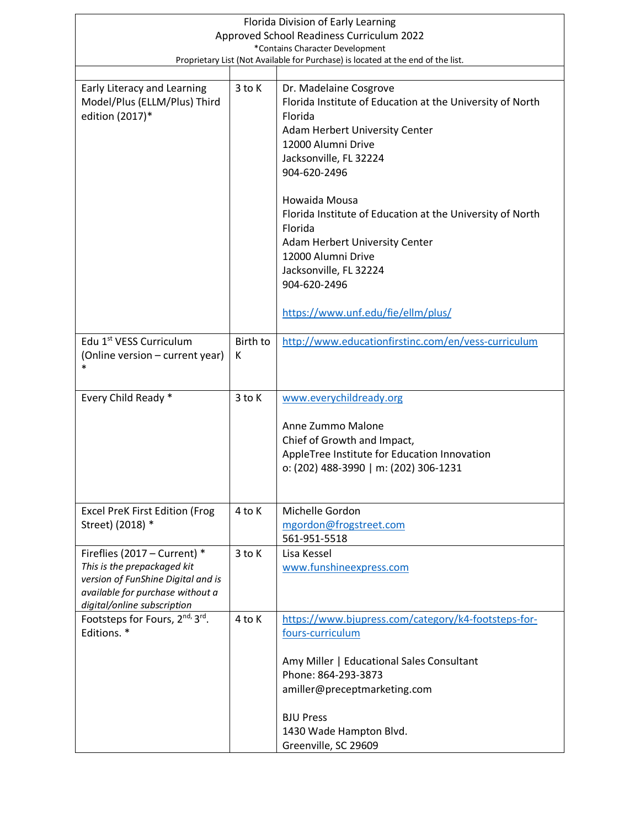| Florida Division of Early Learning                                                                                                                                   |                                           |                                                                                                                                                                                                                                                                                                                                                                                             |  |
|----------------------------------------------------------------------------------------------------------------------------------------------------------------------|-------------------------------------------|---------------------------------------------------------------------------------------------------------------------------------------------------------------------------------------------------------------------------------------------------------------------------------------------------------------------------------------------------------------------------------------------|--|
|                                                                                                                                                                      | Approved School Readiness Curriculum 2022 |                                                                                                                                                                                                                                                                                                                                                                                             |  |
| *Contains Character Development<br>Proprietary List (Not Available for Purchase) is located at the end of the list.                                                  |                                           |                                                                                                                                                                                                                                                                                                                                                                                             |  |
|                                                                                                                                                                      |                                           |                                                                                                                                                                                                                                                                                                                                                                                             |  |
| Early Literacy and Learning<br>Model/Plus (ELLM/Plus) Third<br>edition (2017)*                                                                                       | $3$ to $K$                                | Dr. Madelaine Cosgrove<br>Florida Institute of Education at the University of North<br>Florida<br>Adam Herbert University Center<br>12000 Alumni Drive<br>Jacksonville, FL 32224<br>904-620-2496<br>Howaida Mousa<br>Florida Institute of Education at the University of North<br>Florida<br>Adam Herbert University Center<br>12000 Alumni Drive<br>Jacksonville, FL 32224<br>904-620-2496 |  |
|                                                                                                                                                                      |                                           | https://www.unf.edu/fie/ellm/plus/                                                                                                                                                                                                                                                                                                                                                          |  |
| Edu 1 <sup>st</sup> VESS Curriculum<br>(Online version – current year)<br>$\ast$                                                                                     | Birth to<br>К                             | http://www.educationfirstinc.com/en/vess-curriculum                                                                                                                                                                                                                                                                                                                                         |  |
| Every Child Ready *                                                                                                                                                  | 3 to K                                    | www.everychildready.org                                                                                                                                                                                                                                                                                                                                                                     |  |
|                                                                                                                                                                      |                                           | Anne Zummo Malone<br>Chief of Growth and Impact,<br>AppleTree Institute for Education Innovation<br>o: (202) 488-3990   m: (202) 306-1231                                                                                                                                                                                                                                                   |  |
| <b>Excel PreK First Edition (Frog</b><br>Street) (2018) *                                                                                                            | 4 to K                                    | Michelle Gordon<br>mgordon@frogstreet.com<br>561-951-5518                                                                                                                                                                                                                                                                                                                                   |  |
| Fireflies (2017 - Current) *<br>This is the prepackaged kit<br>version of FunShine Digital and is<br>available for purchase without a<br>digital/online subscription | 3 to K                                    | Lisa Kessel<br>www.funshineexpress.com                                                                                                                                                                                                                                                                                                                                                      |  |
| Footsteps for Fours, 2nd, 3rd.                                                                                                                                       | 4 to K                                    | https://www.bjupress.com/category/k4-footsteps-for-                                                                                                                                                                                                                                                                                                                                         |  |
| Editions. *                                                                                                                                                          |                                           | fours-curriculum<br>Amy Miller   Educational Sales Consultant<br>Phone: 864-293-3873<br>amiller@preceptmarketing.com<br><b>BJU Press</b><br>1430 Wade Hampton Blvd.<br>Greenville, SC 29609                                                                                                                                                                                                 |  |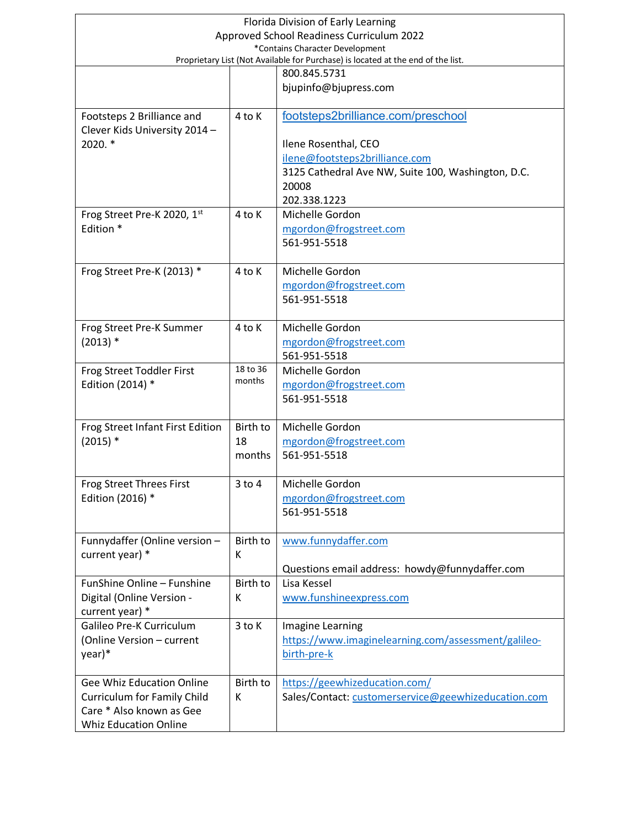| Florida Division of Early Learning       |            |                                                                                  |
|------------------------------------------|------------|----------------------------------------------------------------------------------|
|                                          |            | Approved School Readiness Curriculum 2022                                        |
| *Contains Character Development          |            |                                                                                  |
|                                          |            | Proprietary List (Not Available for Purchase) is located at the end of the list. |
|                                          |            | 800.845.5731                                                                     |
|                                          |            | bjupinfo@bjupress.com                                                            |
|                                          |            |                                                                                  |
| Footsteps 2 Brilliance and               | 4 to K     | footsteps2brilliance.com/preschool                                               |
| Clever Kids University 2014 -<br>2020. * |            |                                                                                  |
|                                          |            | Ilene Rosenthal, CEO<br>ilene@footsteps2brilliance.com                           |
|                                          |            | 3125 Cathedral Ave NW, Suite 100, Washington, D.C.                               |
|                                          |            | 20008                                                                            |
|                                          |            | 202.338.1223                                                                     |
| Frog Street Pre-K 2020, 1st              | 4 to K     | Michelle Gordon                                                                  |
| Edition *                                |            | mgordon@frogstreet.com                                                           |
|                                          |            | 561-951-5518                                                                     |
|                                          |            |                                                                                  |
| Frog Street Pre-K (2013) *               | 4 to K     | Michelle Gordon                                                                  |
|                                          |            | mgordon@frogstreet.com                                                           |
|                                          |            | 561-951-5518                                                                     |
|                                          |            |                                                                                  |
| Frog Street Pre-K Summer                 | 4 to K     | Michelle Gordon                                                                  |
| $(2013)*$                                |            | mgordon@frogstreet.com                                                           |
|                                          |            | 561-951-5518                                                                     |
| Frog Street Toddler First                | 18 to 36   | Michelle Gordon                                                                  |
| Edition (2014) *                         | months     | mgordon@frogstreet.com                                                           |
|                                          |            | 561-951-5518                                                                     |
|                                          |            |                                                                                  |
| Frog Street Infant First Edition         | Birth to   | Michelle Gordon                                                                  |
| $(2015)$ *                               | 18         | mgordon@frogstreet.com                                                           |
|                                          | months     | 561-951-5518                                                                     |
|                                          |            |                                                                                  |
| <b>Frog Street Threes First</b>          | $3$ to $4$ | Michelle Gordon                                                                  |
| Edition (2016) *                         |            | mgordon@frogstreet.com                                                           |
|                                          |            | 561-951-5518                                                                     |
|                                          |            |                                                                                  |
| Funnydaffer (Online version -            | Birth to   | www.funnydaffer.com                                                              |
| current year) *                          | К          |                                                                                  |
|                                          |            | Questions email address: howdy@funnydaffer.com                                   |
| FunShine Online - Funshine               | Birth to   | Lisa Kessel                                                                      |
| Digital (Online Version -                | К          | www.funshineexpress.com                                                          |
| current year) *                          |            |                                                                                  |
| Galileo Pre-K Curriculum                 | 3 to K     | Imagine Learning                                                                 |
| (Online Version - current                |            | https://www.imaginelearning.com/assessment/galileo-                              |
| year)*                                   |            | birth-pre-k                                                                      |
|                                          |            |                                                                                  |
| Gee Whiz Education Online                | Birth to   | https://geewhizeducation.com/                                                    |
| <b>Curriculum for Family Child</b>       | К          | Sales/Contact: customerservice@geewhizeducation.com                              |
| Care * Also known as Gee                 |            |                                                                                  |
| <b>Whiz Education Online</b>             |            |                                                                                  |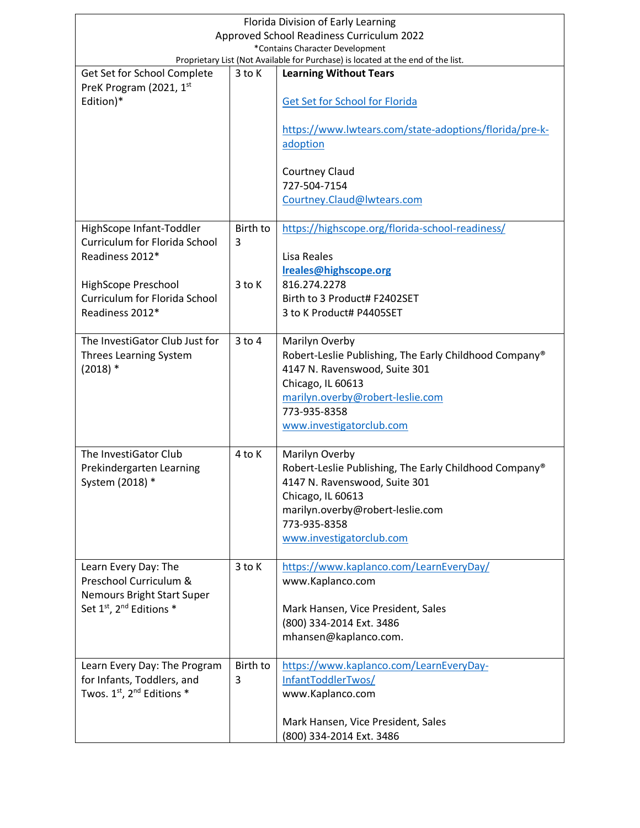| Florida Division of Early Learning                                                                                  |            |                                                                                         |  |
|---------------------------------------------------------------------------------------------------------------------|------------|-----------------------------------------------------------------------------------------|--|
| Approved School Readiness Curriculum 2022                                                                           |            |                                                                                         |  |
| *Contains Character Development<br>Proprietary List (Not Available for Purchase) is located at the end of the list. |            |                                                                                         |  |
| Get Set for School Complete                                                                                         | 3 to K     | <b>Learning Without Tears</b>                                                           |  |
| PreK Program (2021, 1st                                                                                             |            |                                                                                         |  |
| Edition)*                                                                                                           |            | Get Set for School for Florida                                                          |  |
|                                                                                                                     |            |                                                                                         |  |
|                                                                                                                     |            | https://www.lwtears.com/state-adoptions/florida/pre-k-                                  |  |
|                                                                                                                     |            | adoption                                                                                |  |
|                                                                                                                     |            |                                                                                         |  |
|                                                                                                                     |            | <b>Courtney Claud</b>                                                                   |  |
|                                                                                                                     |            | 727-504-7154<br>Courtney.Claud@lwtears.com                                              |  |
|                                                                                                                     |            |                                                                                         |  |
| HighScope Infant-Toddler                                                                                            | Birth to   | https://highscope.org/florida-school-readiness/                                         |  |
| Curriculum for Florida School                                                                                       | 3          |                                                                                         |  |
| Readiness 2012*                                                                                                     |            | Lisa Reales                                                                             |  |
|                                                                                                                     |            | Ireales@highscope.org                                                                   |  |
| HighScope Preschool                                                                                                 | $3$ to K   | 816.274.2278                                                                            |  |
| Curriculum for Florida School                                                                                       |            | Birth to 3 Product# F2402SET                                                            |  |
| Readiness 2012*                                                                                                     |            | 3 to K Product# P4405SET                                                                |  |
|                                                                                                                     |            |                                                                                         |  |
| The InvestiGator Club Just for                                                                                      | $3$ to $4$ | Marilyn Overby                                                                          |  |
| Threes Learning System<br>$(2018)*$                                                                                 |            | Robert-Leslie Publishing, The Early Childhood Company®<br>4147 N. Ravenswood, Suite 301 |  |
|                                                                                                                     |            | Chicago, IL 60613                                                                       |  |
|                                                                                                                     |            | marilyn.overby@robert-leslie.com                                                        |  |
|                                                                                                                     |            | 773-935-8358                                                                            |  |
|                                                                                                                     |            | www.investigatorclub.com                                                                |  |
|                                                                                                                     |            |                                                                                         |  |
| The InvestiGator Club                                                                                               | 4 to K     | Marilyn Overby                                                                          |  |
| Prekindergarten Learning                                                                                            |            | Robert-Leslie Publishing, The Early Childhood Company®                                  |  |
| System (2018) *                                                                                                     |            | 4147 N. Ravenswood, Suite 301                                                           |  |
|                                                                                                                     |            | Chicago, IL 60613                                                                       |  |
|                                                                                                                     |            | marilyn.overby@robert-leslie.com<br>773-935-8358                                        |  |
|                                                                                                                     |            | www.investigatorclub.com                                                                |  |
|                                                                                                                     |            |                                                                                         |  |
| Learn Every Day: The                                                                                                | 3 to K     | https://www.kaplanco.com/LearnEveryDay/                                                 |  |
| Preschool Curriculum &                                                                                              |            | www.Kaplanco.com                                                                        |  |
| Nemours Bright Start Super                                                                                          |            |                                                                                         |  |
| Set 1st, 2 <sup>nd</sup> Editions *                                                                                 |            | Mark Hansen, Vice President, Sales                                                      |  |
|                                                                                                                     |            | (800) 334-2014 Ext. 3486                                                                |  |
|                                                                                                                     |            | mhansen@kaplanco.com.                                                                   |  |
| Learn Every Day: The Program                                                                                        | Birth to   | https://www.kaplanco.com/LearnEveryDay-                                                 |  |
| for Infants, Toddlers, and                                                                                          | 3          | InfantToddlerTwos/                                                                      |  |
| Twos. $1^{st}$ , $2^{nd}$ Editions $*$                                                                              |            | www.Kaplanco.com                                                                        |  |
|                                                                                                                     |            |                                                                                         |  |
|                                                                                                                     |            | Mark Hansen, Vice President, Sales                                                      |  |
|                                                                                                                     |            | (800) 334-2014 Ext. 3486                                                                |  |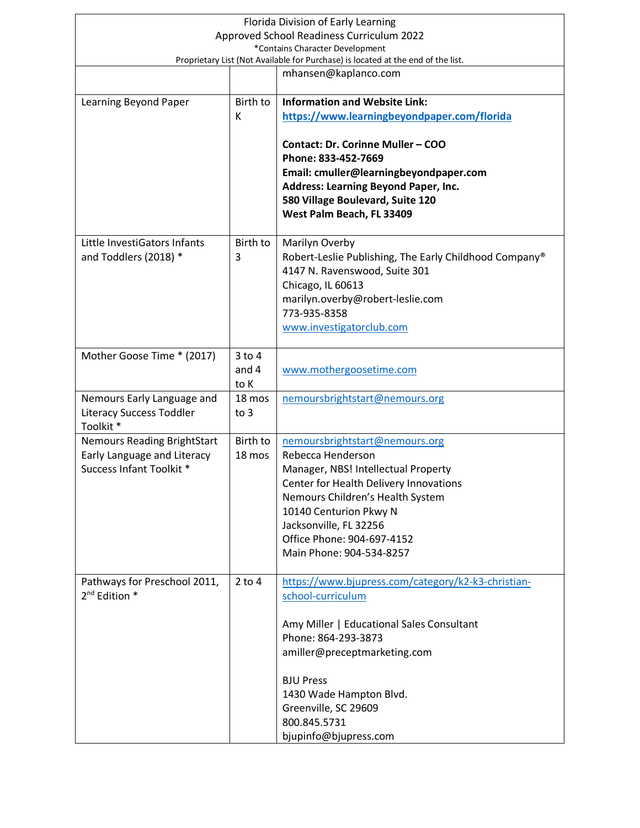| Florida Division of Early Learning<br>Approved School Readiness Curriculum 2022                                     |                             |                                                                                                                                                                                                                                                                                             |
|---------------------------------------------------------------------------------------------------------------------|-----------------------------|---------------------------------------------------------------------------------------------------------------------------------------------------------------------------------------------------------------------------------------------------------------------------------------------|
| *Contains Character Development<br>Proprietary List (Not Available for Purchase) is located at the end of the list. |                             |                                                                                                                                                                                                                                                                                             |
|                                                                                                                     |                             | mhansen@kaplanco.com                                                                                                                                                                                                                                                                        |
| Learning Beyond Paper                                                                                               | Birth to<br>К               | <b>Information and Website Link:</b><br>https://www.learningbeyondpaper.com/florida                                                                                                                                                                                                         |
|                                                                                                                     |                             | <b>Contact: Dr. Corinne Muller - COO</b><br>Phone: 833-452-7669<br>Email: cmuller@learningbeyondpaper.com<br>Address: Learning Beyond Paper, Inc.<br>580 Village Boulevard, Suite 120<br>West Palm Beach, FL 33409                                                                          |
| Little InvestiGators Infants<br>and Toddlers (2018) *                                                               | Birth to<br>3               | Marilyn Overby<br>Robert-Leslie Publishing, The Early Childhood Company®<br>4147 N. Ravenswood, Suite 301<br>Chicago, IL 60613<br>marilyn.overby@robert-leslie.com<br>773-935-8358<br>www.investigatorclub.com                                                                              |
| Mother Goose Time * (2017)                                                                                          | $3$ to $4$<br>and 4<br>to K | www.mothergoosetime.com                                                                                                                                                                                                                                                                     |
| Nemours Early Language and<br><b>Literacy Success Toddler</b><br>Toolkit*                                           | 18 mos<br>to $3$            | nemoursbrightstart@nemours.org                                                                                                                                                                                                                                                              |
| <b>Nemours Reading BrightStart</b><br>Early Language and Literacy<br>Success Infant Toolkit *                       | Birth to<br>18 mos          | nemoursbrightstart@nemours.org<br>Rebecca Henderson<br>Manager, NBS! Intellectual Property<br>Center for Health Delivery Innovations<br>Nemours Children's Health System<br>10140 Centurion Pkwy N<br>Jacksonville, FL 32256<br>Office Phone: 904-697-4152<br>Main Phone: 904-534-8257      |
| Pathways for Preschool 2011,<br>$2^{nd}$ Edition $*$                                                                | $2$ to $4$                  | https://www.bjupress.com/category/k2-k3-christian-<br>school-curriculum<br>Amy Miller   Educational Sales Consultant<br>Phone: 864-293-3873<br>amiller@preceptmarketing.com<br><b>BJU Press</b><br>1430 Wade Hampton Blvd.<br>Greenville, SC 29609<br>800.845.5731<br>bjupinfo@bjupress.com |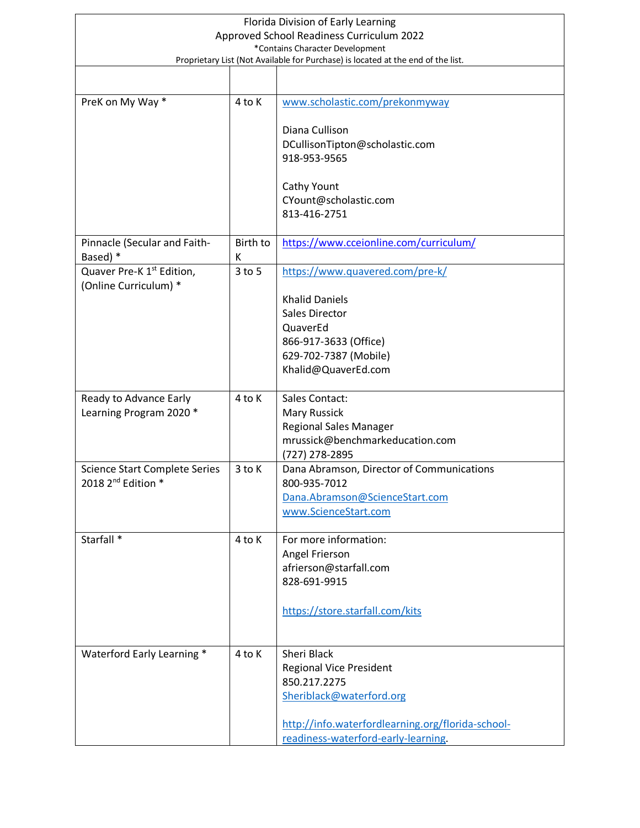| Florida Division of Early Learning                                               |               |                                                             |
|----------------------------------------------------------------------------------|---------------|-------------------------------------------------------------|
| Approved School Readiness Curriculum 2022<br>*Contains Character Development     |               |                                                             |
| Proprietary List (Not Available for Purchase) is located at the end of the list. |               |                                                             |
|                                                                                  |               |                                                             |
| PreK on My Way *                                                                 | 4 to K        | www.scholastic.com/prekonmyway                              |
|                                                                                  |               | Diana Cullison                                              |
|                                                                                  |               | DCullisonTipton@scholastic.com                              |
|                                                                                  |               | 918-953-9565                                                |
|                                                                                  |               | Cathy Yount                                                 |
|                                                                                  |               | CYount@scholastic.com                                       |
|                                                                                  |               | 813-416-2751                                                |
| Pinnacle (Secular and Faith-<br>Based) *                                         | Birth to<br>К | https://www.cceionline.com/curriculum/                      |
| Quaver Pre-K 1 <sup>st</sup> Edition,<br>(Online Curriculum) *                   | $3$ to $5$    | https://www.quavered.com/pre-k/                             |
|                                                                                  |               | <b>Khalid Daniels</b>                                       |
|                                                                                  |               | <b>Sales Director</b>                                       |
|                                                                                  |               | QuaverEd                                                    |
|                                                                                  |               | 866-917-3633 (Office)                                       |
|                                                                                  |               | 629-702-7387 (Mobile)<br>Khalid@QuaverEd.com                |
|                                                                                  |               |                                                             |
| Ready to Advance Early                                                           | 4 to K        | <b>Sales Contact:</b>                                       |
| Learning Program 2020 *                                                          |               | <b>Mary Russick</b>                                         |
|                                                                                  |               | <b>Regional Sales Manager</b>                               |
|                                                                                  |               | mrussick@benchmarkeducation.com                             |
| <b>Science Start Complete Series</b>                                             | 3 to K        | (727) 278-2895<br>Dana Abramson, Director of Communications |
| 2018 2 <sup>nd</sup> Edition *                                                   |               | 800-935-7012                                                |
|                                                                                  |               | Dana.Abramson@ScienceStart.com                              |
|                                                                                  |               | www.ScienceStart.com                                        |
| Starfall <sup>*</sup>                                                            |               |                                                             |
|                                                                                  | 4 to K        | For more information:<br>Angel Frierson                     |
|                                                                                  |               | afrierson@starfall.com                                      |
|                                                                                  |               | 828-691-9915                                                |
|                                                                                  |               | https://store.starfall.com/kits                             |
|                                                                                  |               |                                                             |
|                                                                                  |               |                                                             |
| Waterford Early Learning *                                                       | 4 to K        | Sheri Black                                                 |
|                                                                                  |               | <b>Regional Vice President</b>                              |
|                                                                                  |               | 850.217.2275<br>Sheriblack@waterford.org                    |
|                                                                                  |               |                                                             |
|                                                                                  |               | http://info.waterfordlearning.org/florida-school-           |
|                                                                                  |               | readiness-waterford-early-learning.                         |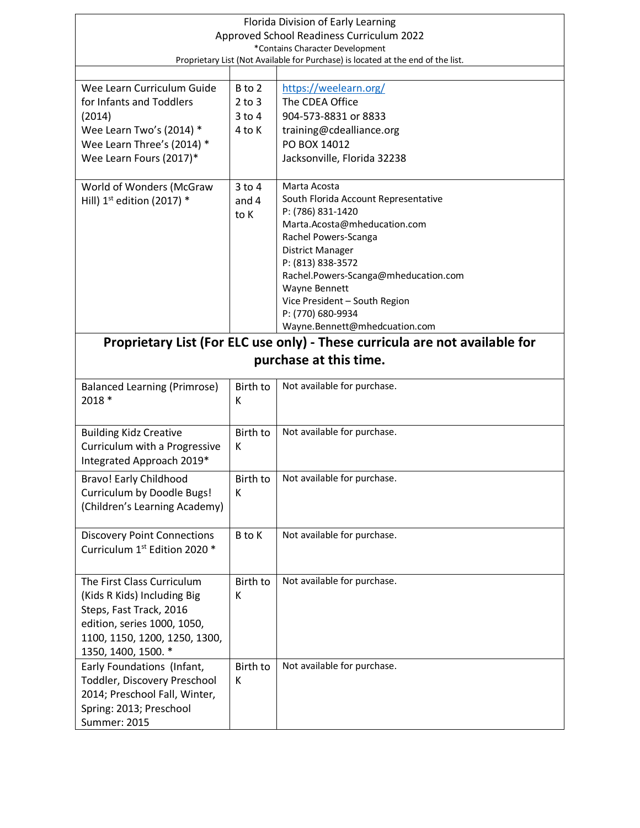| Florida Division of Early Learning                                               |            |                                                                             |  |
|----------------------------------------------------------------------------------|------------|-----------------------------------------------------------------------------|--|
| Approved School Readiness Curriculum 2022                                        |            |                                                                             |  |
| *Contains Character Development                                                  |            |                                                                             |  |
| Proprietary List (Not Available for Purchase) is located at the end of the list. |            |                                                                             |  |
|                                                                                  |            |                                                                             |  |
| Wee Learn Curriculum Guide                                                       | B to 2     | https://weelearn.org/                                                       |  |
| for Infants and Toddlers                                                         | $2$ to $3$ | The CDEA Office                                                             |  |
| (2014)                                                                           | $3$ to $4$ | 904-573-8831 or 8833                                                        |  |
| Wee Learn Two's (2014) *                                                         | 4 to K     | training@cdealliance.org                                                    |  |
| Wee Learn Three's (2014) *                                                       |            | PO BOX 14012                                                                |  |
| Wee Learn Fours (2017)*                                                          |            | Jacksonville, Florida 32238                                                 |  |
|                                                                                  |            |                                                                             |  |
| World of Wonders (McGraw                                                         | $3$ to $4$ | Marta Acosta                                                                |  |
| Hill) $1st$ edition (2017) *                                                     | and 4      | South Florida Account Representative                                        |  |
|                                                                                  | to K       | P: (786) 831-1420<br>Marta.Acosta@mheducation.com                           |  |
|                                                                                  |            | Rachel Powers-Scanga                                                        |  |
|                                                                                  |            | <b>District Manager</b>                                                     |  |
|                                                                                  |            | P: (813) 838-3572                                                           |  |
|                                                                                  |            | Rachel.Powers-Scanga@mheducation.com                                        |  |
|                                                                                  |            | Wayne Bennett                                                               |  |
|                                                                                  |            | Vice President - South Region                                               |  |
|                                                                                  |            | P: (770) 680-9934                                                           |  |
|                                                                                  |            | Wayne.Bennett@mhedcuation.com                                               |  |
|                                                                                  |            | Proprietary List (For ELC use only) - These curricula are not available for |  |
|                                                                                  |            | purchase at this time.                                                      |  |
|                                                                                  |            |                                                                             |  |
| <b>Balanced Learning (Primrose)</b>                                              | Birth to   | Not available for purchase.                                                 |  |
| 2018 *                                                                           | К          |                                                                             |  |
|                                                                                  |            |                                                                             |  |
| <b>Building Kidz Creative</b>                                                    | Birth to   | Not available for purchase.                                                 |  |
| Curriculum with a Progressive                                                    | К          |                                                                             |  |
| Integrated Approach 2019*                                                        |            |                                                                             |  |
| <b>Bravo! Early Childhood</b>                                                    | Birth to   | Not available for purchase.                                                 |  |
| Curriculum by Doodle Bugs!                                                       | К          |                                                                             |  |
| (Children's Learning Academy)                                                    |            |                                                                             |  |
|                                                                                  |            |                                                                             |  |
| <b>Discovery Point Connections</b>                                               | B to K     | Not available for purchase.                                                 |  |
| Curriculum 1st Edition 2020 *                                                    |            |                                                                             |  |
|                                                                                  |            |                                                                             |  |
| The First Class Curriculum                                                       | Birth to   | Not available for purchase.                                                 |  |
| (Kids R Kids) Including Big                                                      | К          |                                                                             |  |
| Steps, Fast Track, 2016                                                          |            |                                                                             |  |
| edition, series 1000, 1050,                                                      |            |                                                                             |  |
| 1100, 1150, 1200, 1250, 1300,                                                    |            |                                                                             |  |
| 1350, 1400, 1500. *                                                              |            |                                                                             |  |
| Early Foundations (Infant,                                                       | Birth to   | Not available for purchase.                                                 |  |
| Toddler, Discovery Preschool                                                     | K          |                                                                             |  |
| 2014; Preschool Fall, Winter,                                                    |            |                                                                             |  |
| Spring: 2013; Preschool                                                          |            |                                                                             |  |
| <b>Summer: 2015</b>                                                              |            |                                                                             |  |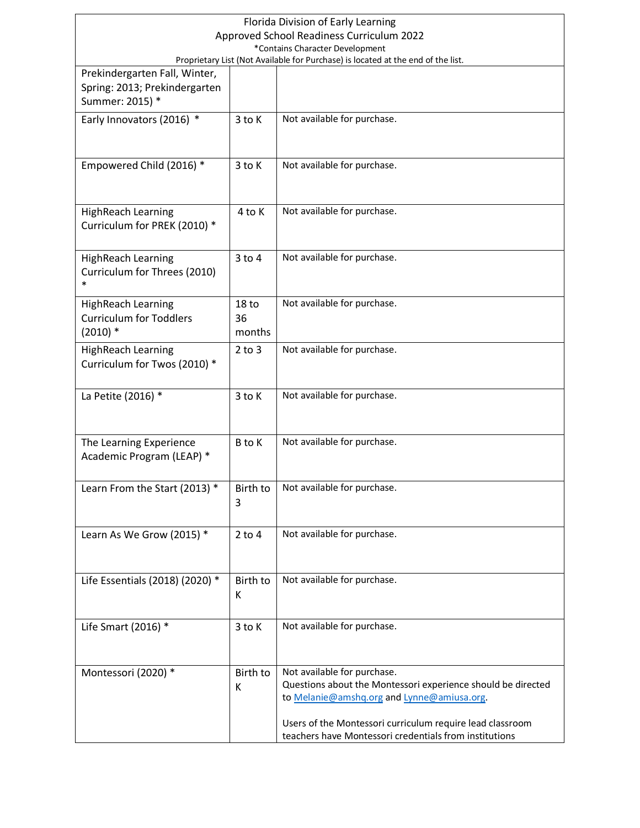| Florida Division of Early Learning                                                                                |                  |                                                              |
|-------------------------------------------------------------------------------------------------------------------|------------------|--------------------------------------------------------------|
| Approved School Readiness Curriculum 2022                                                                         |                  |                                                              |
| *Contains Character Development                                                                                   |                  |                                                              |
| Proprietary List (Not Available for Purchase) is located at the end of the list.<br>Prekindergarten Fall, Winter, |                  |                                                              |
| Spring: 2013; Prekindergarten                                                                                     |                  |                                                              |
| Summer: 2015) *                                                                                                   |                  |                                                              |
| Early Innovators (2016) *                                                                                         | 3 to K           | Not available for purchase.                                  |
|                                                                                                                   |                  |                                                              |
|                                                                                                                   |                  |                                                              |
| Empowered Child (2016) *                                                                                          | 3 to K           | Not available for purchase.                                  |
|                                                                                                                   |                  |                                                              |
|                                                                                                                   |                  |                                                              |
| <b>HighReach Learning</b>                                                                                         | 4 to K           | Not available for purchase.                                  |
| Curriculum for PREK (2010) *                                                                                      |                  |                                                              |
|                                                                                                                   |                  |                                                              |
| <b>HighReach Learning</b>                                                                                         | $3$ to $4$       | Not available for purchase.                                  |
| Curriculum for Threes (2010)                                                                                      |                  |                                                              |
| $\ast$                                                                                                            |                  |                                                              |
| <b>HighReach Learning</b>                                                                                         | 18 <sub>to</sub> | Not available for purchase.                                  |
| <b>Curriculum for Toddlers</b>                                                                                    | 36               |                                                              |
| $(2010)*$                                                                                                         | months           |                                                              |
| <b>HighReach Learning</b>                                                                                         | $2$ to $3$       | Not available for purchase.                                  |
| Curriculum for Twos (2010) *                                                                                      |                  |                                                              |
|                                                                                                                   |                  |                                                              |
| La Petite (2016) *                                                                                                | 3 to K           | Not available for purchase.                                  |
|                                                                                                                   |                  |                                                              |
|                                                                                                                   |                  |                                                              |
| The Learning Experience                                                                                           | B to K           | Not available for purchase.                                  |
| Academic Program (LEAP) *                                                                                         |                  |                                                              |
|                                                                                                                   |                  |                                                              |
| Learn From the Start (2013) *                                                                                     | Birth to         | Not available for purchase.                                  |
|                                                                                                                   | 3                |                                                              |
|                                                                                                                   |                  |                                                              |
| Learn As We Grow (2015) *                                                                                         | $2$ to $4$       | Not available for purchase.                                  |
|                                                                                                                   |                  |                                                              |
|                                                                                                                   |                  |                                                              |
| Life Essentials (2018) (2020) *                                                                                   | Birth to         | Not available for purchase.                                  |
|                                                                                                                   | К                |                                                              |
|                                                                                                                   |                  |                                                              |
| Life Smart (2016) *                                                                                               | $3$ to K         | Not available for purchase.                                  |
|                                                                                                                   |                  |                                                              |
|                                                                                                                   | Birth to         | Not available for purchase.                                  |
| Montessori (2020) *                                                                                               | К                | Questions about the Montessori experience should be directed |
|                                                                                                                   |                  | to Melanie@amshq.org and Lynne@amiusa.org.                   |
|                                                                                                                   |                  |                                                              |
|                                                                                                                   |                  | Users of the Montessori curriculum require lead classroom    |
|                                                                                                                   |                  | teachers have Montessori credentials from institutions       |